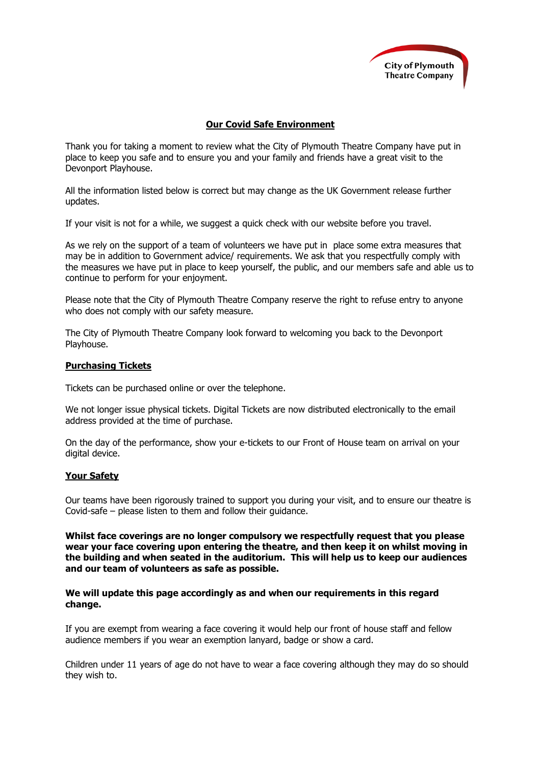

# **Our Covid Safe Environment**

Thank you for taking a moment to review what the City of Plymouth Theatre Company have put in place to keep you safe and to ensure you and your family and friends have a great visit to the Devonport Playhouse.

All the information listed below is correct but may change as the UK Government release further updates.

If your visit is not for a while, we suggest a quick check with our website before you travel.

As we rely on the support of a team of volunteers we have put in place some extra measures that may be in addition to Government advice/ requirements. We ask that you respectfully comply with the measures we have put in place to keep yourself, the public, and our members safe and able us to continue to perform for your enjoyment.

Please note that the City of Plymouth Theatre Company reserve the right to refuse entry to anyone who does not comply with our safety measure.

The City of Plymouth Theatre Company look forward to welcoming you back to the Devonport Playhouse.

## **Purchasing Tickets**

Tickets can be purchased online or over the telephone.

We not longer issue physical tickets. Digital Tickets are now distributed electronically to the email address provided at the time of purchase.

On the day of the performance, show your e-tickets to our Front of House team on arrival on your digital device.

# **Your Safety**

Our teams have been rigorously trained to support you during your visit, and to ensure our theatre is Covid-safe – please listen to them and follow their guidance.

**Whilst face coverings are no longer compulsory we respectfully request that you please wear your face covering upon entering the theatre, and then keep it on whilst moving in the building and when seated in the auditorium. This will help us to keep our audiences and our team of volunteers as safe as possible.**

## **We will update this page accordingly as and when our requirements in this regard change.**

If you are exempt from wearing a face covering it would help our front of house staff and fellow audience members if you wear an exemption lanyard, badge or show a card.

Children under 11 years of age do not have to wear a face covering although they may do so should they wish to.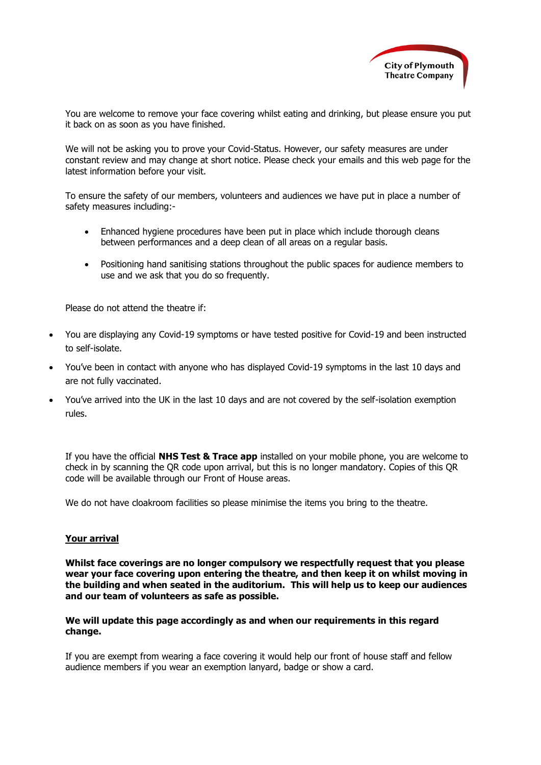

You are welcome to remove your face covering whilst eating and drinking, but please ensure you put it back on as soon as you have finished.

We will not be asking you to prove your Covid-Status. However, our safety measures are under constant review and may change at short notice. Please check your emails and this web page for the latest information before your visit.

To ensure the safety of our members, volunteers and audiences we have put in place a number of safety measures including:-

- Enhanced hygiene procedures have been put in place which include thorough cleans between performances and a deep clean of all areas on a regular basis.
- Positioning hand sanitising stations throughout the public spaces for audience members to use and we ask that you do so frequently.

Please do not attend the theatre if:

- You are displaying [any Covid-19 symptoms](https://www.nhs.uk/conditions/coronavirus-covid-19/symptoms/) or have tested positive for Covid-19 and been instructed to self-isolate.
- You've been in contact with anyone who has displayed Covid-19 symptoms in the last 10 days and are not fully vaccinated.
- You've arrived into the UK in the last 10 days and are not covered by the self-isolation exemption rules.

If you have the official **NHS Test & Trace app** installed on your mobile phone, you are welcome to check in by scanning the QR code upon arrival, but this is no longer mandatory. Copies of this QR code will be available through our Front of House areas.

We do not have cloakroom facilities so please minimise the items you bring to the theatre.

#### **Your arrival**

**Whilst face coverings are no longer compulsory we respectfully request that you please wear your face covering upon entering the theatre, and then keep it on whilst moving in the building and when seated in the auditorium. This will help us to keep our audiences and our team of volunteers as safe as possible.** 

**We will update this page accordingly as and when our requirements in this regard change.**

If you are exempt from wearing a face covering it would help our front of house staff and fellow audience members if you wear an exemption lanyard, badge or show a card.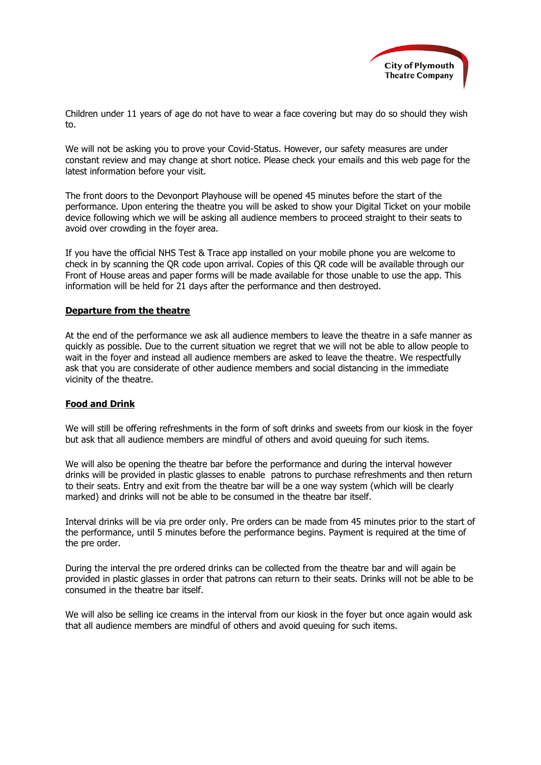

Children under 11 years of age do not have to wear a face covering but may do so should they wish to.

We will not be asking you to prove your Covid-Status. However, our safety measures are under constant review and may change at short notice. Please check your emails and this web page for the latest information before your visit.

The front doors to the Devonport Playhouse will be opened 45 minutes before the start of the performance. Upon entering the theatre you will be asked to show your Digital Ticket on your mobile device following which we will be asking all audience members to proceed straight to their seats to avoid over crowding in the foyer area.

If you have the official NHS Test & Trace app installed on your mobile phone you are welcome to check in by scanning the QR code upon arrival. Copies of this QR code will be available through our Front of House areas and paper forms will be made available for those unable to use the app. This information will be held for 21 days after the performance and then destroyed.

## **Departure from the theatre**

At the end of the performance we ask all audience members to leave the theatre in a safe manner as quickly as possible. Due to the current situation we regret that we will not be able to allow people to wait in the foyer and instead all audience members are asked to leave the theatre. We respectfully ask that you are considerate of other audience members and social distancing in the immediate vicinity of the theatre.

# **Food and Drink**

We will still be offering refreshments in the form of soft drinks and sweets from our kiosk in the foyer but ask that all audience members are mindful of others and avoid queuing for such items.

We will also be opening the theatre bar before the performance and during the interval however drinks will be provided in plastic glasses to enable patrons to purchase refreshments and then return to their seats. Entry and exit from the theatre bar will be a one way system (which will be clearly marked) and drinks will not be able to be consumed in the theatre bar itself.

Interval drinks will be via pre order only. Pre orders can be made from 45 minutes prior to the start of the performance, until 5 minutes before the performance begins. Payment is required at the time of the pre order.

During the interval the pre ordered drinks can be collected from the theatre bar and will again be provided in plastic glasses in order that patrons can return to their seats. Drinks will not be able to be consumed in the theatre bar itself.

We will also be selling ice creams in the interval from our kiosk in the fover but once again would ask that all audience members are mindful of others and avoid queuing for such items.